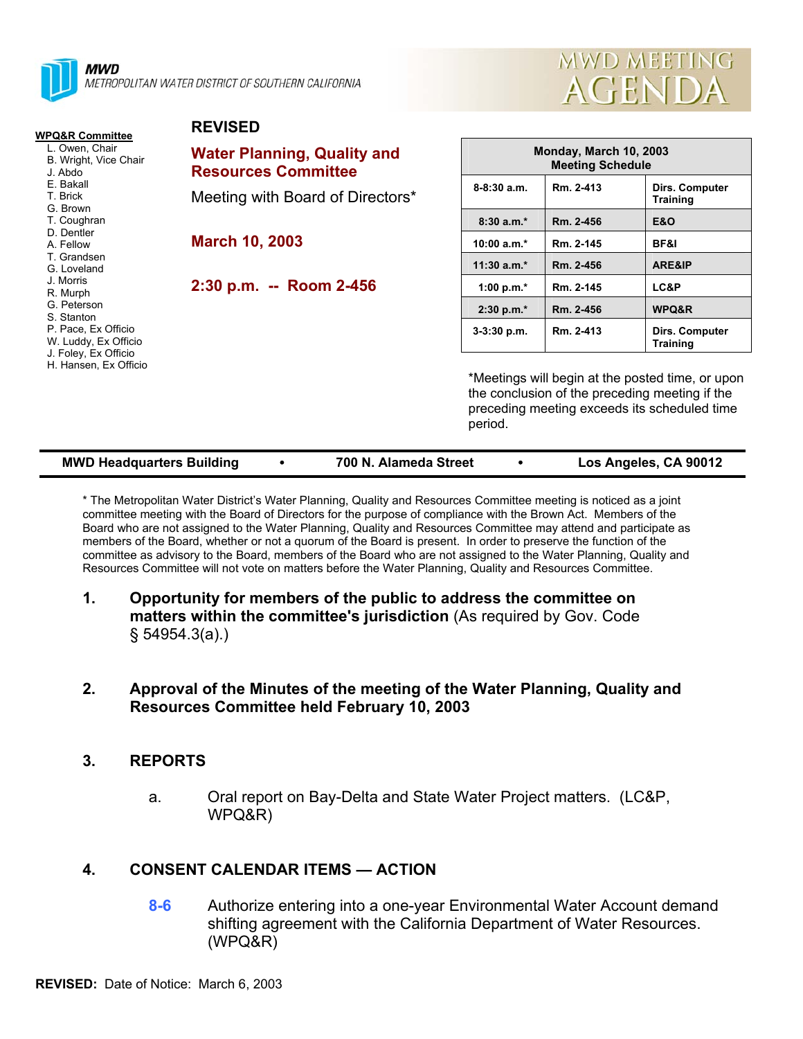

wwn METROPOLITAN WATER DISTRICT OF SOUTHERN CALIFORNIA



**8-8:30 a.m. Rm. 2-413 Dirs. Computer** 

**3-3:30 p.m. Rm. 2-413 Dirs. Computer** 

**Training** 

**Training** 

| <b>WPQ&amp;R Committee</b>                         | <b>REVISED</b>                                                   |                          |
|----------------------------------------------------|------------------------------------------------------------------|--------------------------|
| L. Owen, Chair<br>B. Wright, Vice Chair<br>J. Abdo | <b>Water Planning, Quality and</b><br><b>Resources Committee</b> |                          |
| E. Bakall<br>T. Brick<br>G. Brown                  | Meeting with Board of Directors*                                 | 8-8:30 a.m.              |
| T. Coughran                                        |                                                                  | $8:30a.m.*$              |
| D. Dentler<br>A. Fellow                            | <b>March 10, 2003</b>                                            | 10:00 $a.m.*$            |
| T. Grandsen<br>G. Loveland                         |                                                                  | $11:30$ a.m.*            |
| J. Morris<br>R. Murph                              | 2:30 p.m. -- Room 2-456                                          | 1:00 p.m. $*$            |
| G. Peterson<br>S. Stanton                          |                                                                  | $2:30 p.m.*$             |
| P. Pace, Ex Officio<br>W. Luddy, Ex Officio        |                                                                  | $3-3:30$ p.m.            |
| J. Foley, Ex Officio<br>H. Hansen, Ex Officio      |                                                                  |                          |
|                                                    |                                                                  | *Meetings<br>the conclus |

will begin at the posted time, or upon sion of the preceding meeting if the preceding meeting exceeds its scheduled time period.

**Monday, March 10, 2003 Meeting Schedule** 

> **8:30 a.m.\* Rm. 2-456 E&O 10:00 a.m.\* Rm. 2-145 BF&I 12.456 ARE&IP 1.00 Rm. 2-145 LC&P 2:30 p.m.\* Rm. 2-456 WPQ&R**

| <b>MWD Headquarters Building</b> | 700 N. Alameda Street | Los Angeles, CA 90012 |
|----------------------------------|-----------------------|-----------------------|
|                                  |                       |                       |

\* The Metropolitan Water District's Water Planning, Quality and Resources Committee meeting is noticed as a joint committee meeting with the Board of Directors for the purpose of compliance with the Brown Act. Members of the Board who are not assigned to the Water Planning, Quality and Resources Committee may attend and participate as members of the Board, whether or not a quorum of the Board is present. In order to preserve the function of the committee as advisory to the Board, members of the Board who are not assigned to the Water Planning, Quality and Resources Committee will not vote on matters before the Water Planning, Quality and Resources Committee.

**1. Opportunity for members of the public to address the committee on matters within the committee's jurisdiction** (As required by Gov. Code § 54954.3(a).)

#### **2. Approval of the Minutes of the meeting of the Water Planning, Quality and Resources Committee held February 10, 2003**

### **3. REPORTS**

a. Oral report on Bay-Delta and State Water Project matters. (LC&P, WPQ&R)

# **4. CONSENT CALENDAR ITEMS — ACTION**

**8-6** Authorize entering into a one-year Environmental Water Account demand shifting agreement with the California Department of Water Resources. (WPQ&R)